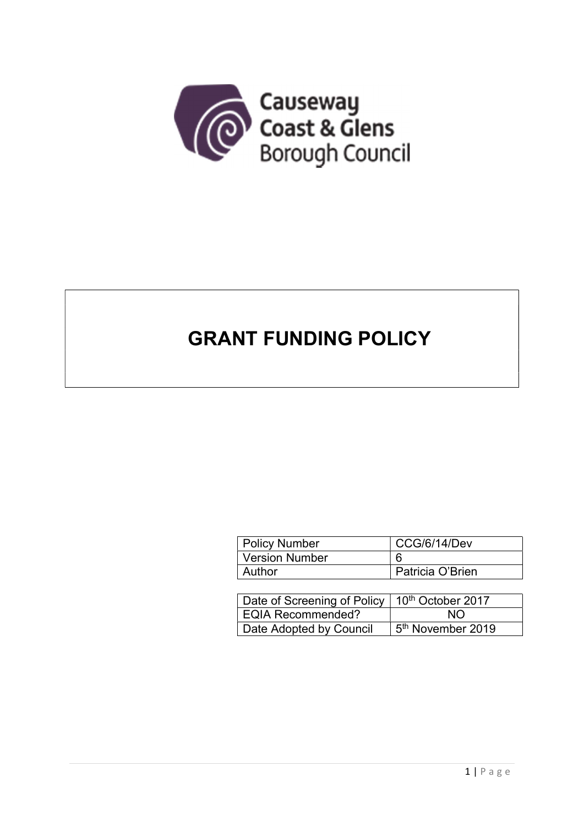

# GRANT FUNDING POLICY

| <b>Policy Number</b>  | CCG/6/14/Dev     |  |
|-----------------------|------------------|--|
| <b>Version Number</b> |                  |  |
| Author                | Patricia O'Brien |  |

| Date of Screening of Policy   10 <sup>th</sup> October 2017 |                               |  |
|-------------------------------------------------------------|-------------------------------|--|
| <b>EQIA Recommended?</b>                                    | NO.                           |  |
| Date Adopted by Council                                     | 5 <sup>th</sup> November 2019 |  |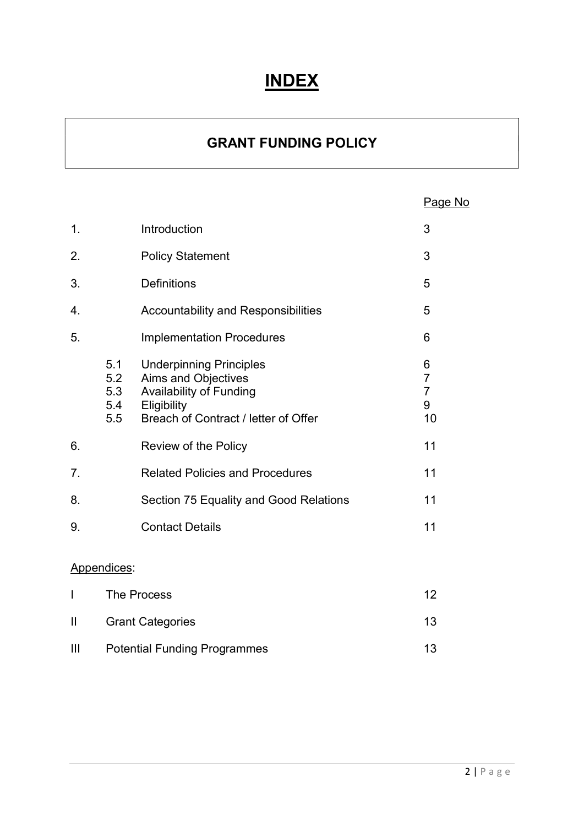# INDEX

# GRANT FUNDING POLICY

|  | Page No |
|--|---------|
|--|---------|

| $\mathbf 1$ .  |                                           | Introduction                                                                                                                                          | 3                                                |  |
|----------------|-------------------------------------------|-------------------------------------------------------------------------------------------------------------------------------------------------------|--------------------------------------------------|--|
| 2.             |                                           | <b>Policy Statement</b>                                                                                                                               | 3                                                |  |
| 3.             |                                           | <b>Definitions</b>                                                                                                                                    | 5                                                |  |
| 4.             |                                           | <b>Accountability and Responsibilities</b>                                                                                                            | 5                                                |  |
| 5.             |                                           | <b>Implementation Procedures</b>                                                                                                                      | 6                                                |  |
|                | 5.1<br>5.2<br>5.3<br>5.4<br>5.5           | <b>Underpinning Principles</b><br><b>Aims and Objectives</b><br><b>Availability of Funding</b><br>Eligibility<br>Breach of Contract / letter of Offer | 6<br>$\overline{7}$<br>$\overline{7}$<br>9<br>10 |  |
| 6.             |                                           | <b>Review of the Policy</b>                                                                                                                           | 11                                               |  |
| 7 <sub>1</sub> |                                           | <b>Related Policies and Procedures</b>                                                                                                                | 11                                               |  |
| 8.             |                                           | Section 75 Equality and Good Relations                                                                                                                | 11                                               |  |
| 9.             |                                           | <b>Contact Details</b>                                                                                                                                | 11                                               |  |
| Appendices:    |                                           |                                                                                                                                                       |                                                  |  |
| I              | <b>The Process</b>                        |                                                                                                                                                       | 12                                               |  |
| $\mathbf{  }$  | <b>Grant Categories</b>                   |                                                                                                                                                       | 13                                               |  |
| $\mathbf{III}$ | <b>Potential Funding Programmes</b><br>13 |                                                                                                                                                       |                                                  |  |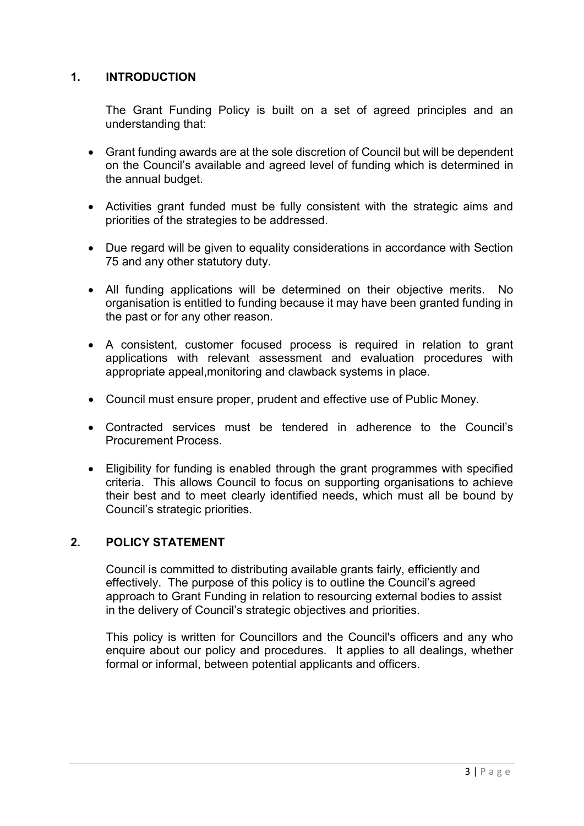# 1. INTRODUCTION

The Grant Funding Policy is built on a set of agreed principles and an understanding that:

- Grant funding awards are at the sole discretion of Council but will be dependent on the Council's available and agreed level of funding which is determined in the annual budget.
- Activities grant funded must be fully consistent with the strategic aims and priorities of the strategies to be addressed.
- Due regard will be given to equality considerations in accordance with Section 75 and any other statutory duty.
- All funding applications will be determined on their objective merits. No organisation is entitled to funding because it may have been granted funding in the past or for any other reason.
- A consistent, customer focused process is required in relation to grant applications with relevant assessment and evaluation procedures with appropriate appeal,monitoring and clawback systems in place.
- Council must ensure proper, prudent and effective use of Public Money.
- Contracted services must be tendered in adherence to the Council's Procurement Process.
- Eligibility for funding is enabled through the grant programmes with specified criteria. This allows Council to focus on supporting organisations to achieve their best and to meet clearly identified needs, which must all be bound by Council's strategic priorities.

#### 2. POLICY STATEMENT

Council is committed to distributing available grants fairly, efficiently and effectively. The purpose of this policy is to outline the Council's agreed approach to Grant Funding in relation to resourcing external bodies to assist in the delivery of Council's strategic objectives and priorities.

This policy is written for Councillors and the Council's officers and any who enquire about our policy and procedures. It applies to all dealings, whether formal or informal, between potential applicants and officers.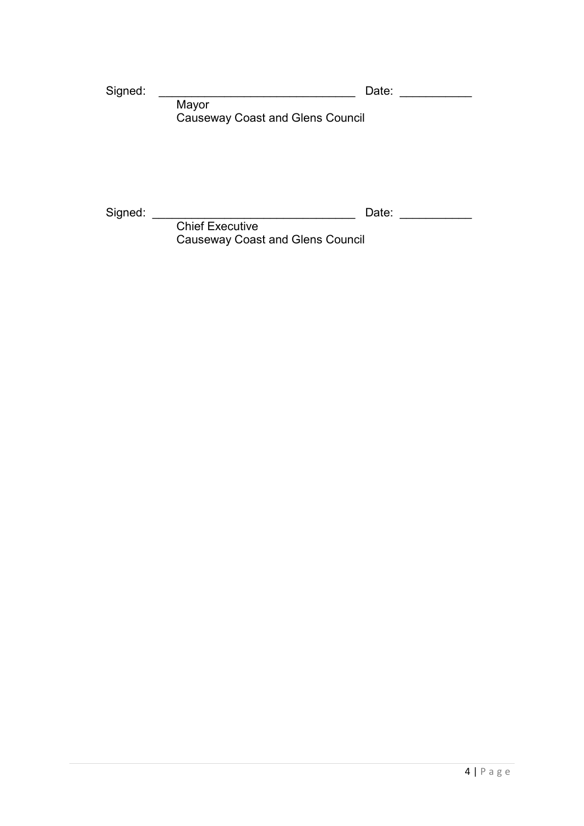Signed: \_\_\_\_\_\_\_\_\_\_\_\_\_\_\_\_\_\_\_\_\_\_\_\_\_\_\_\_\_\_ Date: \_\_\_\_\_\_\_\_\_\_\_

 Mayor Causeway Coast and Glens Council

Signed: \_\_\_\_\_\_\_\_\_\_\_\_\_\_\_\_\_\_\_\_\_\_\_\_\_\_\_\_\_\_\_ Date: \_\_\_\_\_\_\_\_\_\_\_

**Chief Executive** Causeway Coast and Glens Council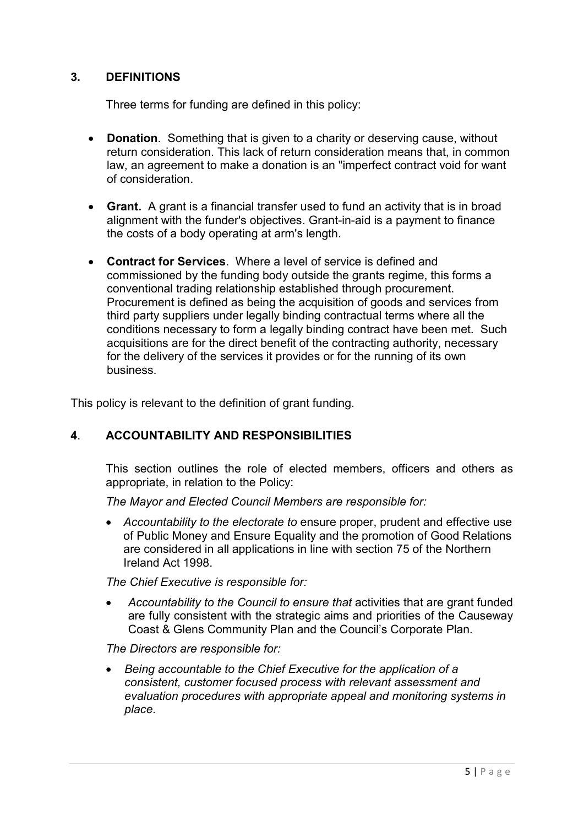# 3. DEFINITIONS

Three terms for funding are defined in this policy:

- Donation. Something that is given to a charity or deserving cause, without return consideration. This lack of return consideration means that, in common law, an agreement to make a donation is an "imperfect contract void for want of consideration.
- Grant. A grant is a financial transfer used to fund an activity that is in broad alignment with the funder's objectives. Grant-in-aid is a payment to finance the costs of a body operating at arm's length.
- Contract for Services. Where a level of service is defined and commissioned by the funding body outside the grants regime, this forms a conventional trading relationship established through procurement. Procurement is defined as being the acquisition of goods and services from third party suppliers under legally binding contractual terms where all the conditions necessary to form a legally binding contract have been met. Such acquisitions are for the direct benefit of the contracting authority, necessary for the delivery of the services it provides or for the running of its own business.

This policy is relevant to the definition of grant funding.

# 4. ACCOUNTABILITY AND RESPONSIBILITIES

This section outlines the role of elected members, officers and others as appropriate, in relation to the Policy:

The Mayor and Elected Council Members are responsible for:

• Accountability to the electorate to ensure proper, prudent and effective use of Public Money and Ensure Equality and the promotion of Good Relations are considered in all applications in line with section 75 of the Northern Ireland Act 1998.

The Chief Executive is responsible for:

 Accountability to the Council to ensure that activities that are grant funded are fully consistent with the strategic aims and priorities of the Causeway Coast & Glens Community Plan and the Council's Corporate Plan.

The Directors are responsible for:

 Being accountable to the Chief Executive for the application of a consistent, customer focused process with relevant assessment and evaluation procedures with appropriate appeal and monitoring systems in place.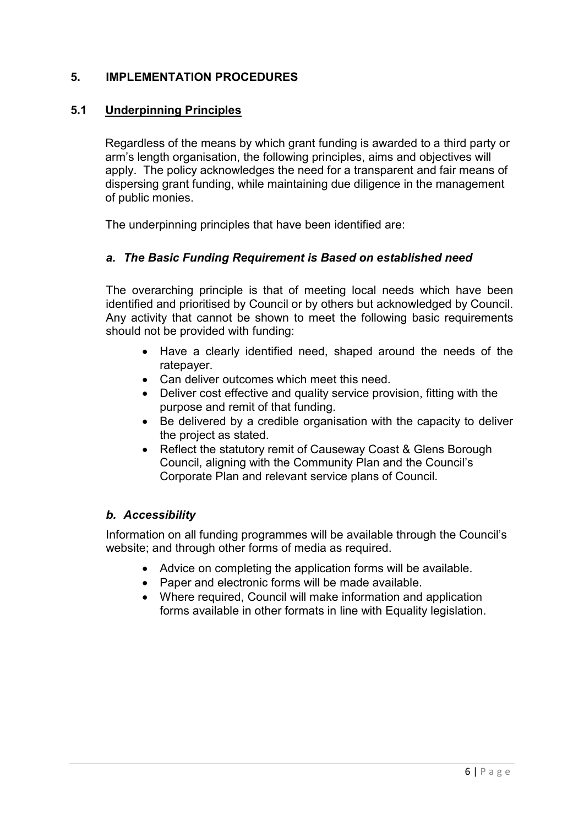# 5. IMPLEMENTATION PROCEDURES

# 5.1 Underpinning Principles

Regardless of the means by which grant funding is awarded to a third party or arm's length organisation, the following principles, aims and objectives will apply. The policy acknowledges the need for a transparent and fair means of dispersing grant funding, while maintaining due diligence in the management of public monies.

The underpinning principles that have been identified are:

#### a. The Basic Funding Requirement is Based on established need

The overarching principle is that of meeting local needs which have been identified and prioritised by Council or by others but acknowledged by Council. Any activity that cannot be shown to meet the following basic requirements should not be provided with funding:

- Have a clearly identified need, shaped around the needs of the ratepayer.
- Can deliver outcomes which meet this need.
- Deliver cost effective and quality service provision, fitting with the purpose and remit of that funding.
- Be delivered by a credible organisation with the capacity to deliver the project as stated.
- Reflect the statutory remit of Causeway Coast & Glens Borough Council, aligning with the Community Plan and the Council's Corporate Plan and relevant service plans of Council.

#### b. Accessibility

Information on all funding programmes will be available through the Council's website; and through other forms of media as required.

- Advice on completing the application forms will be available.
- Paper and electronic forms will be made available.
- Where required, Council will make information and application forms available in other formats in line with Equality legislation.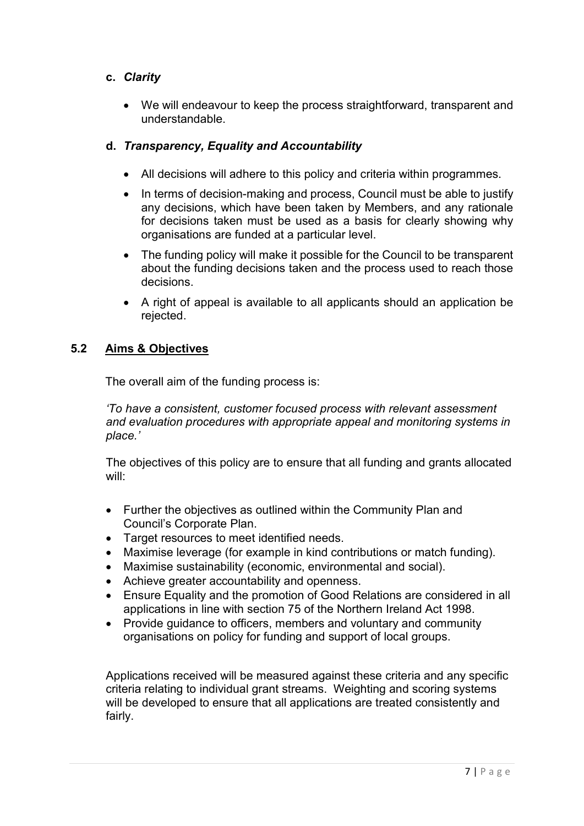# c. Clarity

 We will endeavour to keep the process straightforward, transparent and understandable.

# d. Transparency, Equality and Accountability

- All decisions will adhere to this policy and criteria within programmes.
- In terms of decision-making and process, Council must be able to justify any decisions, which have been taken by Members, and any rationale for decisions taken must be used as a basis for clearly showing why organisations are funded at a particular level.
- The funding policy will make it possible for the Council to be transparent about the funding decisions taken and the process used to reach those decisions.
- A right of appeal is available to all applicants should an application be rejected.

# 5.2 Aims & Objectives

The overall aim of the funding process is:

'To have a consistent, customer focused process with relevant assessment and evaluation procedures with appropriate appeal and monitoring systems in place.'

The objectives of this policy are to ensure that all funding and grants allocated will:

- Further the objectives as outlined within the Community Plan and Council's Corporate Plan.
- Target resources to meet identified needs.
- Maximise leverage (for example in kind contributions or match funding).
- Maximise sustainability (economic, environmental and social).
- Achieve greater accountability and openness.
- Ensure Equality and the promotion of Good Relations are considered in all applications in line with section 75 of the Northern Ireland Act 1998.
- Provide guidance to officers, members and voluntary and community organisations on policy for funding and support of local groups.

Applications received will be measured against these criteria and any specific criteria relating to individual grant streams. Weighting and scoring systems will be developed to ensure that all applications are treated consistently and fairly.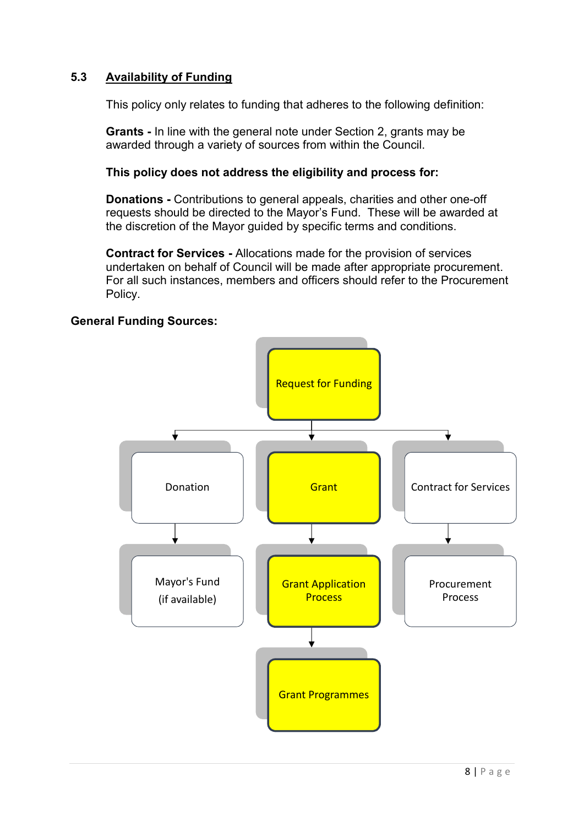# 5.3 Availability of Funding

This policy only relates to funding that adheres to the following definition:

Grants - In line with the general note under Section 2, grants may be awarded through a variety of sources from within the Council.

#### This policy does not address the eligibility and process for:

Donations - Contributions to general appeals, charities and other one-off requests should be directed to the Mayor's Fund. These will be awarded at the discretion of the Mayor guided by specific terms and conditions.

Contract for Services - Allocations made for the provision of services undertaken on behalf of Council will be made after appropriate procurement. For all such instances, members and officers should refer to the Procurement Policy.

### General Funding Sources:

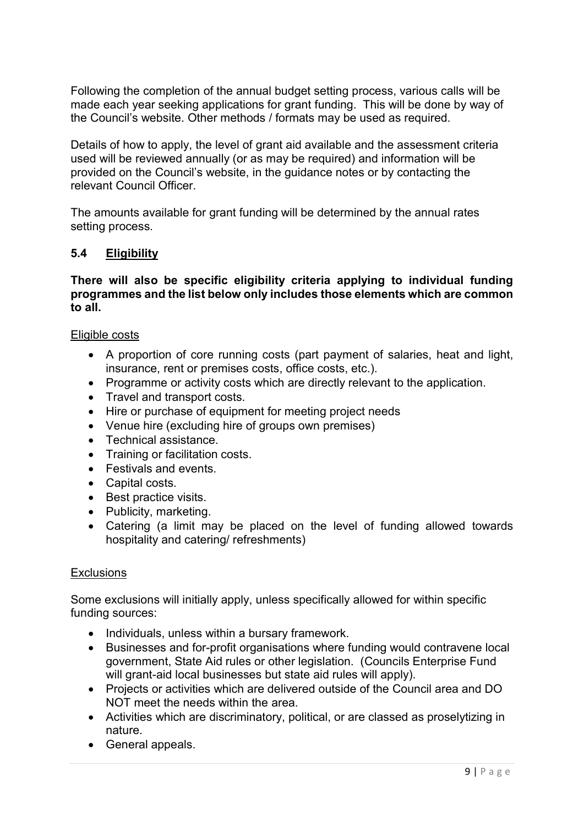Following the completion of the annual budget setting process, various calls will be made each year seeking applications for grant funding. This will be done by way of the Council's website. Other methods / formats may be used as required.

Details of how to apply, the level of grant aid available and the assessment criteria used will be reviewed annually (or as may be required) and information will be provided on the Council's website, in the guidance notes or by contacting the relevant Council Officer.

The amounts available for grant funding will be determined by the annual rates setting process.

#### 5.4 Eligibility

#### There will also be specific eligibility criteria applying to individual funding programmes and the list below only includes those elements which are common to all.

#### Eligible costs

- A proportion of core running costs (part payment of salaries, heat and light, insurance, rent or premises costs, office costs, etc.).
- Programme or activity costs which are directly relevant to the application.
- Travel and transport costs.
- Hire or purchase of equipment for meeting project needs
- Venue hire (excluding hire of groups own premises)
- Technical assistance.
- Training or facilitation costs.
- Festivals and events.
- Capital costs.
- Best practice visits.
- Publicity, marketing.
- Catering (a limit may be placed on the level of funding allowed towards hospitality and catering/ refreshments)

#### **Exclusions**

Some exclusions will initially apply, unless specifically allowed for within specific funding sources:

- Individuals, unless within a bursary framework.
- Businesses and for-profit organisations where funding would contravene local government, State Aid rules or other legislation. (Councils Enterprise Fund will grant-aid local businesses but state aid rules will apply).
- Projects or activities which are delivered outside of the Council area and DO NOT meet the needs within the area.
- Activities which are discriminatory, political, or are classed as proselytizing in nature.
- General appeals.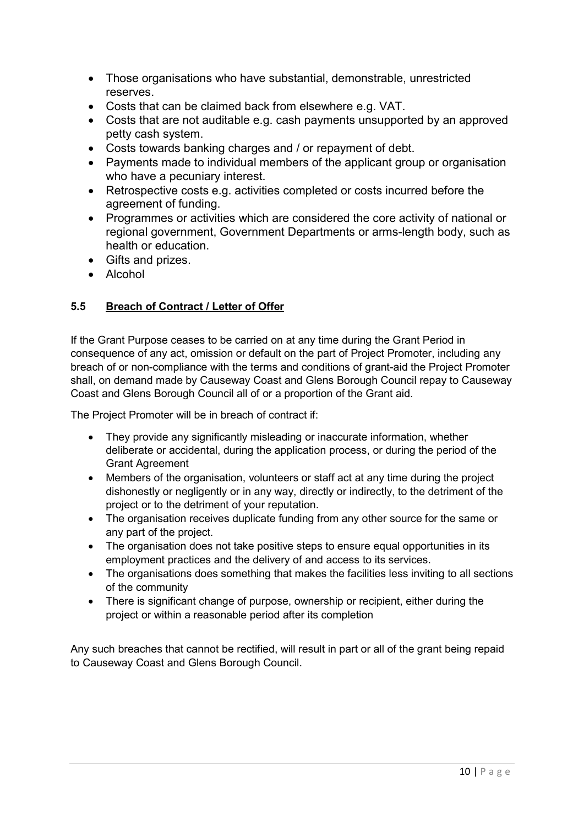- Those organisations who have substantial, demonstrable, unrestricted reserves.
- Costs that can be claimed back from elsewhere e.g. VAT.
- Costs that are not auditable e.g. cash payments unsupported by an approved petty cash system.
- Costs towards banking charges and / or repayment of debt.
- Payments made to individual members of the applicant group or organisation who have a pecuniary interest.
- Retrospective costs e.g. activities completed or costs incurred before the agreement of funding.
- Programmes or activities which are considered the core activity of national or regional government, Government Departments or arms-length body, such as health or education.
- Gifts and prizes.
- Alcohol

# 5.5 Breach of Contract / Letter of Offer

If the Grant Purpose ceases to be carried on at any time during the Grant Period in consequence of any act, omission or default on the part of Project Promoter, including any breach of or non-compliance with the terms and conditions of grant-aid the Project Promoter shall, on demand made by Causeway Coast and Glens Borough Council repay to Causeway Coast and Glens Borough Council all of or a proportion of the Grant aid.

The Project Promoter will be in breach of contract if:

- They provide any significantly misleading or inaccurate information, whether deliberate or accidental, during the application process, or during the period of the Grant Agreement
- Members of the organisation, volunteers or staff act at any time during the project dishonestly or negligently or in any way, directly or indirectly, to the detriment of the project or to the detriment of your reputation.
- The organisation receives duplicate funding from any other source for the same or any part of the project.
- The organisation does not take positive steps to ensure equal opportunities in its employment practices and the delivery of and access to its services.
- The organisations does something that makes the facilities less inviting to all sections of the community
- There is significant change of purpose, ownership or recipient, either during the project or within a reasonable period after its completion

Any such breaches that cannot be rectified, will result in part or all of the grant being repaid to Causeway Coast and Glens Borough Council.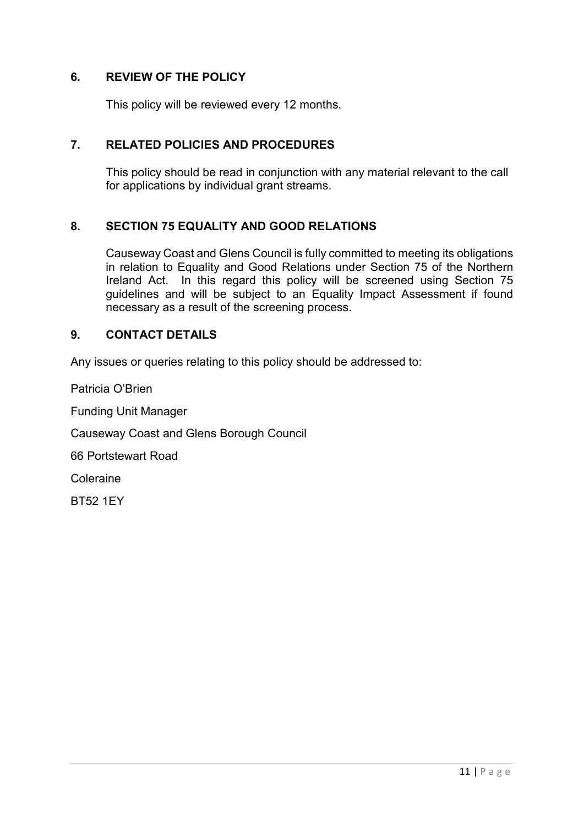# 6. REVIEW OF THE POLICY

This policy will be reviewed every 12 months.

#### 7. RELATED POLICIES AND PROCEDURES

This policy should be read in conjunction with any material relevant to the call for applications by individual grant streams.

#### 8. SECTION 75 EQUALITY AND GOOD RELATIONS

Causeway Coast and Glens Council is fully committed to meeting its obligations in relation to Equality and Good Relations under Section 75 of the Northern Ireland Act. In this regard this policy will be screened using Section 75 guidelines and will be subject to an Equality Impact Assessment if found necessary as a result of the screening process.

#### 9. CONTACT DETAILS

Any issues or queries relating to this policy should be addressed to:

Patricia O'Brien

Funding Unit Manager

Causeway Coast and Glens Borough Council

66 Portstewart Road

Coleraine

BT52 1EY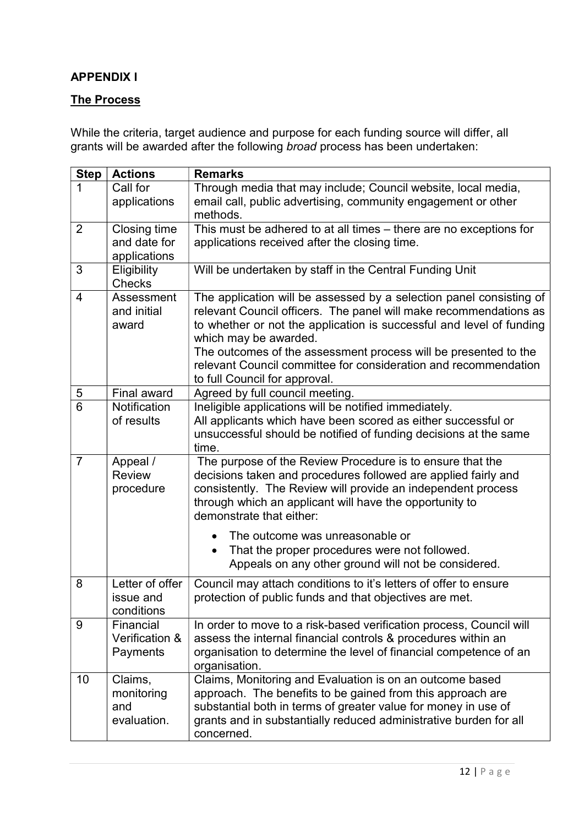# APPENDIX I

# The Process

While the criteria, target audience and purpose for each funding source will differ, all grants will be awarded after the following broad process has been undertaken:

| <b>Step</b>    | <b>Actions</b>               | <b>Remarks</b>                                                                                                                 |
|----------------|------------------------------|--------------------------------------------------------------------------------------------------------------------------------|
| 1              | Call for                     | Through media that may include; Council website, local media,                                                                  |
|                | applications                 | email call, public advertising, community engagement or other                                                                  |
|                |                              | methods.                                                                                                                       |
| 2              | Closing time<br>and date for | This must be adhered to at all times - there are no exceptions for                                                             |
|                |                              | applications received after the closing time.                                                                                  |
| 3              | applications<br>Eligibility  | Will be undertaken by staff in the Central Funding Unit                                                                        |
|                | <b>Checks</b>                |                                                                                                                                |
| 4              | Assessment                   | The application will be assessed by a selection panel consisting of                                                            |
|                | and initial                  | relevant Council officers. The panel will make recommendations as                                                              |
|                | award                        | to whether or not the application is successful and level of funding<br>which may be awarded.                                  |
|                |                              | The outcomes of the assessment process will be presented to the                                                                |
|                |                              | relevant Council committee for consideration and recommendation                                                                |
|                |                              | to full Council for approval.                                                                                                  |
| 5              | <b>Final award</b>           | Agreed by full council meeting.                                                                                                |
| 6              | Notification                 | Ineligible applications will be notified immediately.                                                                          |
|                | of results                   | All applicants which have been scored as either successful or                                                                  |
|                |                              | unsuccessful should be notified of funding decisions at the same                                                               |
|                |                              | time.                                                                                                                          |
| $\overline{7}$ | Appeal /<br><b>Review</b>    | The purpose of the Review Procedure is to ensure that the                                                                      |
|                | procedure                    | decisions taken and procedures followed are applied fairly and<br>consistently. The Review will provide an independent process |
|                |                              | through which an applicant will have the opportunity to                                                                        |
|                |                              | demonstrate that either:                                                                                                       |
|                |                              | The outcome was unreasonable or                                                                                                |
|                |                              | That the proper procedures were not followed.<br>$\bullet$                                                                     |
|                |                              | Appeals on any other ground will not be considered.                                                                            |
|                |                              |                                                                                                                                |
| 8              | Letter of offer              | Council may attach conditions to it's letters of offer to ensure                                                               |
|                | issue and                    | protection of public funds and that objectives are met.                                                                        |
| 9              | conditions<br>Financial      | In order to move to a risk-based verification process, Council will                                                            |
|                | Verification &               | assess the internal financial controls & procedures within an                                                                  |
|                | Payments                     | organisation to determine the level of financial competence of an                                                              |
|                |                              | organisation.                                                                                                                  |
| 10             | Claims,                      | Claims, Monitoring and Evaluation is on an outcome based                                                                       |
|                | monitoring                   | approach. The benefits to be gained from this approach are                                                                     |
|                | and                          | substantial both in terms of greater value for money in use of                                                                 |
|                | evaluation.                  | grants and in substantially reduced administrative burden for all                                                              |
|                |                              | concerned.                                                                                                                     |